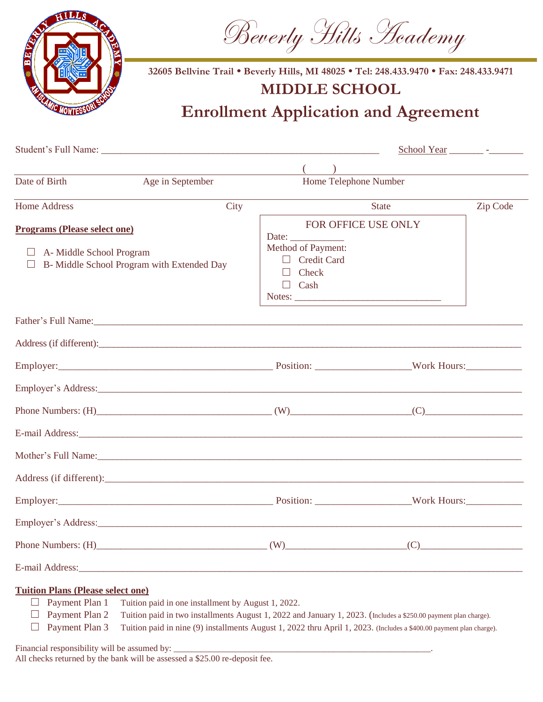

Beverly Hills Heademy

**32605 Bellvine Trail • Beverly Hills, MI 48025 • Tel: 248.433.9470 • Fax: 248.433.9471**

# **MIDDLE SCHOOL**

**Enrollment Application and Agreement**

|                                                                                                                                                                                                                                |                                           |                                                                                     | <u> 1989 - Johann Barn, mars ann an t-Amhain ann an t-Amhain an t-Amhain an t-Amhain an t-Amhain an t-Amhain an t-</u> |          |
|--------------------------------------------------------------------------------------------------------------------------------------------------------------------------------------------------------------------------------|-------------------------------------------|-------------------------------------------------------------------------------------|------------------------------------------------------------------------------------------------------------------------|----------|
| Date of Birth                                                                                                                                                                                                                  | Age in September<br>Home Telephone Number |                                                                                     |                                                                                                                        |          |
| <b>Home Address</b>                                                                                                                                                                                                            | City                                      |                                                                                     | State                                                                                                                  | Zip Code |
| <b>Programs (Please select one)</b><br>$\Box$ A-Middle School Program<br>B- Middle School Program with Extended Day                                                                                                            |                                           | Date:<br>Method of Payment:<br>$\Box$ Credit Card<br>Check<br>$\Box$ Cash<br>Notes: | FOR OFFICE USE ONLY                                                                                                    |          |
| Father's Full Name: 1988 and 2008 and 2008 and 2008 and 2008 and 2008 and 2008 and 2008 and 2008 and 2008 and 2008 and 2008 and 2008 and 2008 and 2008 and 2008 and 2008 and 2008 and 2008 and 2008 and 2008 and 2008 and 2008 |                                           |                                                                                     |                                                                                                                        |          |
|                                                                                                                                                                                                                                |                                           |                                                                                     |                                                                                                                        |          |
| Employer: Work Hours: Work Hours:                                                                                                                                                                                              |                                           |                                                                                     |                                                                                                                        |          |
|                                                                                                                                                                                                                                |                                           |                                                                                     |                                                                                                                        |          |
| Phone Numbers: $(H)$ (W) (W) (C)                                                                                                                                                                                               |                                           |                                                                                     |                                                                                                                        |          |
|                                                                                                                                                                                                                                |                                           |                                                                                     |                                                                                                                        |          |
| Mother's Full Name: 1988 and 2008 and 2008 and 2008 and 2008 and 2008 and 2008 and 2008 and 2008 and 2008 and 2008 and 2008 and 2008 and 2008 and 2008 and 2008 and 2008 and 2008 and 2008 and 2008 and 2008 and 2008 and 2008 |                                           |                                                                                     |                                                                                                                        |          |
|                                                                                                                                                                                                                                |                                           |                                                                                     |                                                                                                                        |          |
| Employer: Work Hours: Work Hours:                                                                                                                                                                                              |                                           |                                                                                     |                                                                                                                        |          |
| Employer's Address: New York Contract to the Contract of the Contract of the Contract of the Contract of the Contract of the Contract of the Contract of the Contract of the Contract of the Contract of the Contract of the C |                                           |                                                                                     |                                                                                                                        |          |
| Phone Numbers: $(H)$ (W)                                                                                                                                                                                                       |                                           |                                                                                     | (C)                                                                                                                    |          |
|                                                                                                                                                                                                                                |                                           |                                                                                     |                                                                                                                        |          |
| <b>Tuition Plans (Please select one)</b><br>Payment Plan 1<br>Tuition paid in one installment by August 1, 2022.<br>Payment Plan 2                                                                                             |                                           |                                                                                     | Tuition paid in two installments August 1, 2022 and January 1, 2023. (Includes a \$250.00 payment plan charge).        |          |

□ Payment Plan 3 Tuition paid in nine (9) installments August 1, 2022 thru April 1, 2023. (Includes a \$400.00 payment plan charge).

Financial responsibility will be assumed by:

All checks returned by the bank will be assessed a \$25.00 re-deposit fee.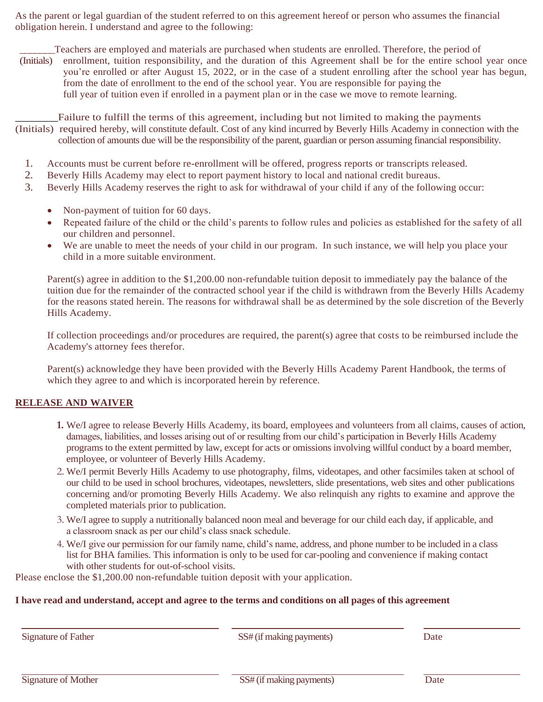As the parent or legal guardian of the student referred to on this agreement hereof or person who assumes the financial obligation herein. I understand and agree to the following:

Teachers are employed and materials are purchased when students are enrolled. Therefore, the period of (Initials) enrollment, tuition responsibility, and the duration of this Agreement shall be for the entire school year once you're enrolled or after August 15, 2022, or in the case of a student enrolling after the school year has begun, from the date of enrollment to the end of the school year. You are responsible for paying the full year of tuition even if enrolled in a payment plan or in the case we move to remote learning.

Failure to fulfill the terms of this agreement, including but not limited to making the payments (Initials) required hereby, will constitute default. Cost of any kind incurred by Beverly Hills Academy in connection with the collection of amounts due will be the responsibility of the parent, guardian or person assuming financial responsibility.

- 1. Accounts must be current before re-enrollment will be offered, progress reports or transcripts released.
- 2. Beverly Hills Academy may elect to report payment history to local and national credit bureaus.
- 3. Beverly Hills Academy reserves the right to ask for withdrawal of your child if any of the following occur:
	- Non-payment of tuition for 60 days.
	- Repeated failure of the child or the child's parents to follow rules and policies as established for the safety of all our children and personnel.
	- We are unable to meet the needs of your child in our program. In such instance, we will help you place your child in a more suitable environment.

Parent(s) agree in addition to the \$1,200.00 non-refundable tuition deposit to immediately pay the balance of the tuition due for the remainder of the contracted school year if the child is withdrawn from the Beverly Hills Academy for the reasons stated herein. The reasons for withdrawal shall be as determined by the sole discretion of the Beverly Hills Academy.

If collection proceedings and/or procedures are required, the parent(s) agree that costs to be reimbursed include the Academy's attorney fees therefor.

Parent(s) acknowledge they have been provided with the Beverly Hills Academy Parent Handbook, the terms of which they agree to and which is incorporated herein by reference.

## **RELEASE AND WAIVER**

- **1.** We/I agree to release Beverly Hills Academy, its board, employees and volunteers from all claims, causes of action, damages, liabilities, and losses arising out of or resulting from our child's participation in Beverly Hills Academy programs to the extent permitted by law, except for acts or omissions involving willful conduct by a board member, employee, or volunteer of Beverly Hills Academy.
- 2. We/I permit Beverly Hills Academy to use photography, films, videotapes, and other facsimiles taken at school of our child to be used in school brochures, videotapes, newsletters, slide presentations, web sites and other publications concerning and/or promoting Beverly Hills Academy. We also relinquish any rights to examine and approve the completed materials prior to publication.
- 3. We/I agree to supply a nutritionally balanced noon meal and beverage for our child each day, if applicable, and a classroom snack as per our child's class snack schedule.
- 4. We/I give our permission for our family name, child's name, address, and phone number to be included in a class list for BHA families. This information is only to be used for car-pooling and convenience if making contact with other students for out-of-school visits.

Please enclose the \$1,200.00 non-refundable tuition deposit with your application.

## **I have read and understand, accept and agree to the terms and conditions on all pages of this agreement**

Signature of Father SS# (if making payments) Date